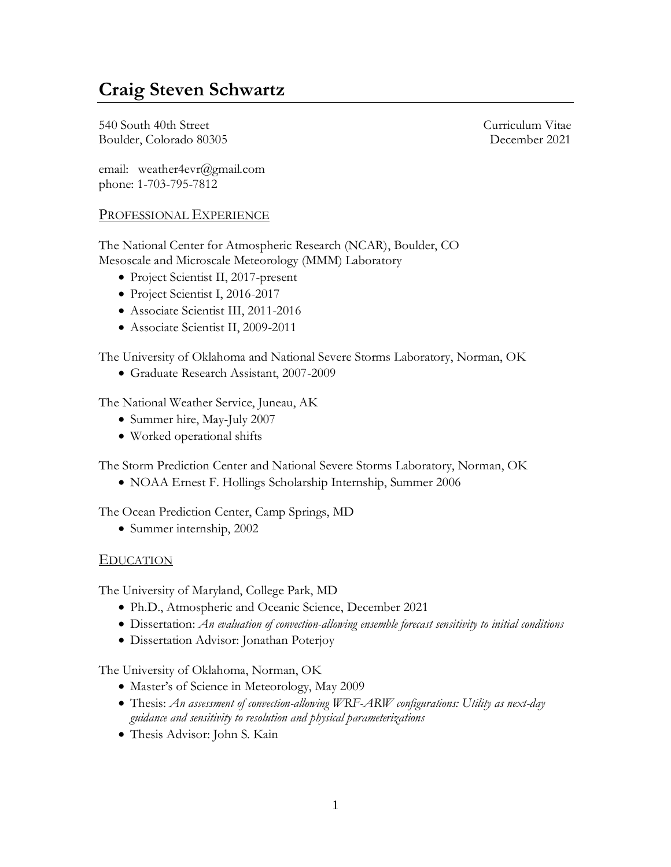# **Craig Steven Schwartz**

540 South 40th Street Curriculum Vitae Boulder, Colorado 80305 December 2021

email: weather4evr@gmail.com phone: 1-703-795-7812

## PROFESSIONAL EXPERIENCE

The National Center for Atmospheric Research (NCAR), Boulder, CO Mesoscale and Microscale Meteorology (MMM) Laboratory

- Project Scientist II, 2017-present
- Project Scientist I, 2016-2017
- Associate Scientist III, 2011-2016
- Associate Scientist II, 2009-2011

The University of Oklahoma and National Severe Storms Laboratory, Norman, OK

• Graduate Research Assistant, 2007-2009

The National Weather Service, Juneau, AK

- Summer hire, May-July 2007
- Worked operational shifts

The Storm Prediction Center and National Severe Storms Laboratory, Norman, OK

• NOAA Ernest F. Hollings Scholarship Internship, Summer 2006

The Ocean Prediction Center, Camp Springs, MD

• Summer internship, 2002

### EDUCATION

The University of Maryland, College Park, MD

- Ph.D., Atmospheric and Oceanic Science, December 2021
- Dissertation: *An evaluation of convection-allowing ensemble forecast sensitivity to initial conditions*
- Dissertation Advisor: Jonathan Poterjoy

The University of Oklahoma, Norman, OK

- Master's of Science in Meteorology, May 2009
- Thesis: *An assessment of convection-allowing WRF-ARW configurations: Utility as next-day guidance and sensitivity to resolution and physical parameterizations*
- Thesis Advisor: John S. Kain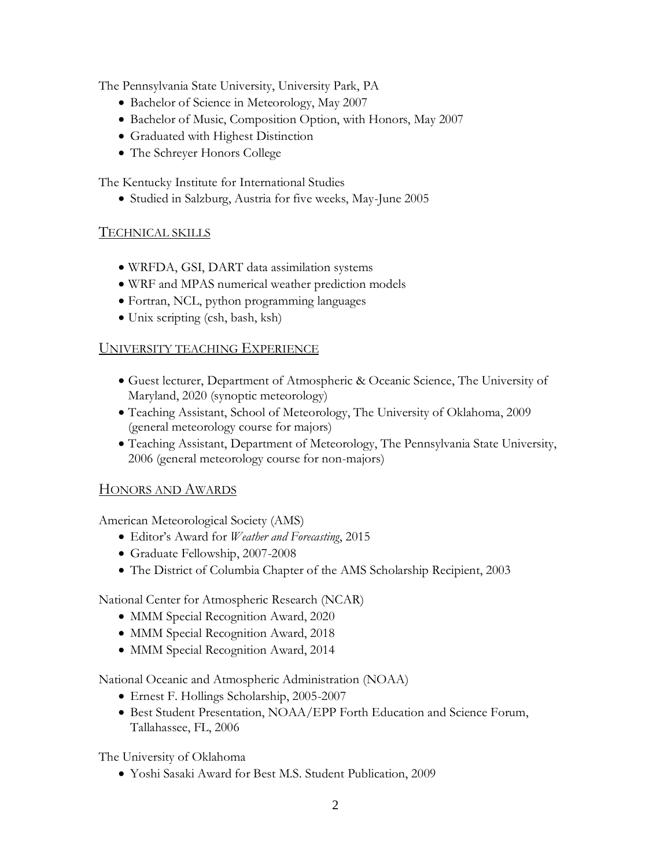The Pennsylvania State University, University Park, PA

- Bachelor of Science in Meteorology, May 2007
- Bachelor of Music, Composition Option, with Honors, May 2007
- Graduated with Highest Distinction
- The Schreyer Honors College

The Kentucky Institute for International Studies

• Studied in Salzburg, Austria for five weeks, May-June 2005

## TECHNICAL SKILLS

- WRFDA, GSI, DART data assimilation systems
- WRF and MPAS numerical weather prediction models
- Fortran, NCL, python programming languages
- Unix scripting (csh, bash, ksh)

### UNIVERSITY TEACHING EXPERIENCE

- Guest lecturer, Department of Atmospheric & Oceanic Science, The University of Maryland, 2020 (synoptic meteorology)
- Teaching Assistant, School of Meteorology, The University of Oklahoma, 2009 (general meteorology course for majors)
- Teaching Assistant, Department of Meteorology, The Pennsylvania State University, 2006 (general meteorology course for non-majors)

### HONORS AND AWARDS

American Meteorological Society (AMS)

- Editor's Award for *Weather and Forecasting*, 2015
- Graduate Fellowship, 2007-2008
- The District of Columbia Chapter of the AMS Scholarship Recipient, 2003

National Center for Atmospheric Research (NCAR)

- MMM Special Recognition Award, 2020
- MMM Special Recognition Award, 2018
- MMM Special Recognition Award, 2014

National Oceanic and Atmospheric Administration (NOAA)

- Ernest F. Hollings Scholarship, 2005-2007
- Best Student Presentation, NOAA/EPP Forth Education and Science Forum, Tallahassee, FL, 2006

The University of Oklahoma

• Yoshi Sasaki Award for Best M.S. Student Publication, 2009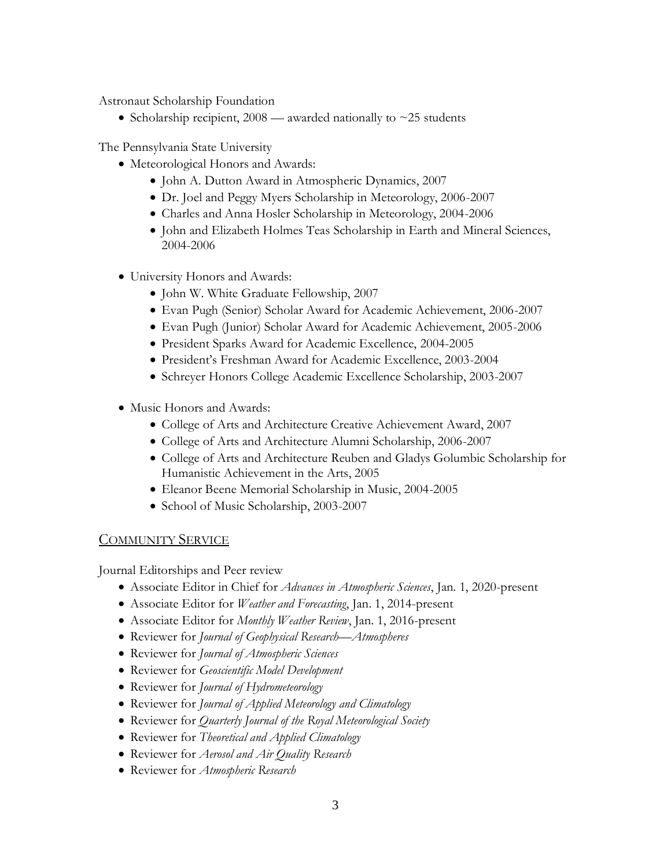Astronaut Scholarship Foundation

• Scholarship recipient,  $2008$  — awarded nationally to  $\sim$  25 students

The Pennsylvania State University

- Meteorological Honors and Awards:
	- John A. Dutton Award in Atmospheric Dynamics, 2007
	- Dr. Joel and Peggy Myers Scholarship in Meteorology, 2006-2007
	- Charles and Anna Hosler Scholarship in Meteorology, 2004-2006
	- John and Elizabeth Holmes Teas Scholarship in Earth and Mineral Sciences, 2004-2006
- University Honors and Awards:
	- John W. White Graduate Fellowship, 2007
	- Evan Pugh (Senior) Scholar Award for Academic Achievement, 2006-2007
	- Evan Pugh (Junior) Scholar Award for Academic Achievement, 2005-2006
	- President Sparks Award for Academic Excellence, 2004-2005
	- President's Freshman Award for Academic Excellence, 2003-2004
	- Schreyer Honors College Academic Excellence Scholarship, 2003-2007
- Music Honors and Awards:
	- College of Arts and Architecture Creative Achievement Award, 2007
	- College of Arts and Architecture Alumni Scholarship, 2006-2007
	- College of Arts and Architecture Reuben and Gladys Golumbic Scholarship for Humanistic Achievement in the Arts, 2005
	- Eleanor Beene Memorial Scholarship in Music, 2004-2005
	- School of Music Scholarship, 2003-2007

## **COMMUNITY SERVICE**

Journal Editorships and Peer review

- Associate Editor in Chief for *Advances in Atmospheric Sciences*, Jan. 1, 2020-present
- Associate Editor for *Weather and Forecasting*, Jan. 1, 2014-present
- Associate Editor for *Monthly Weather Review*, Jan. 1, 2016-present
- Reviewer for *Journal of Geophysical Research—Atmospheres*
- Reviewer for *Journal of Atmospheric Sciences*
- Reviewer for *Geoscientific Model Development*
- Reviewer for *Journal of Hydrometeorology*
- Reviewer for *Journal of Applied Meteorology and Climatology*
- Reviewer for *Quarterly Journal of the Royal Meteorological Society*
- Reviewer for *Theoretical and Applied Climatology*
- Reviewer for *Aerosol and Air Quality Research*
- Reviewer for *Atmospheric Research*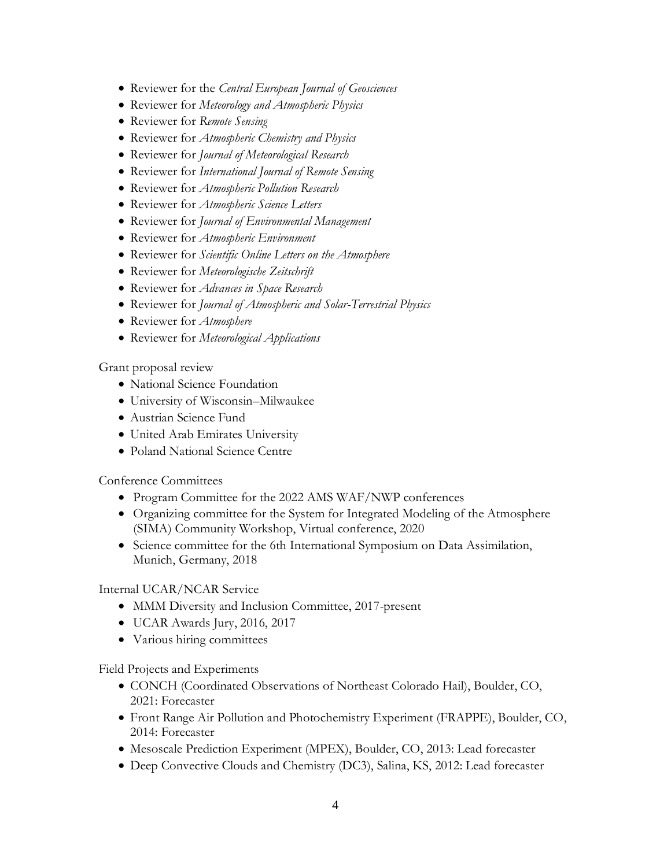- Reviewer for the *Central European Journal of Geosciences*
- Reviewer for *Meteorology and Atmospheric Physics*
- Reviewer for *Remote Sensing*
- Reviewer for *Atmospheric Chemistry and Physics*
- Reviewer for *Journal of Meteorological Research*
- Reviewer for *International Journal of Remote Sensing*
- Reviewer for *Atmospheric Pollution Research*
- Reviewer for *Atmospheric Science Letters*
- Reviewer for *Journal of Environmental Management*
- Reviewer for *Atmospheric Environment*
- Reviewer for *Scientific Online Letters on the Atmosphere*
- Reviewer for *Meteorologische Zeitschrift*
- Reviewer for *Advances in Space Research*
- Reviewer for *Journal of Atmospheric and Solar-Terrestrial Physics*
- Reviewer for *Atmosphere*
- Reviewer for *Meteorological Applications*

Grant proposal review

- National Science Foundation
- University of Wisconsin–Milwaukee
- Austrian Science Fund
- United Arab Emirates University
- Poland National Science Centre

Conference Committees

- Program Committee for the 2022 AMS WAF/NWP conferences
- Organizing committee for the System for Integrated Modeling of the Atmosphere (SIMA) Community Workshop, Virtual conference, 2020
- Science committee for the 6th International Symposium on Data Assimilation, Munich, Germany, 2018

### Internal UCAR/NCAR Service

- MMM Diversity and Inclusion Committee, 2017-present
- UCAR Awards Jury, 2016, 2017
- Various hiring committees

Field Projects and Experiments

- CONCH (Coordinated Observations of Northeast Colorado Hail), Boulder, CO, 2021: Forecaster
- Front Range Air Pollution and Photochemistry Experiment (FRAPPE), Boulder, CO, 2014: Forecaster
- Mesoscale Prediction Experiment (MPEX), Boulder, CO, 2013: Lead forecaster
- Deep Convective Clouds and Chemistry (DC3), Salina, KS, 2012: Lead forecaster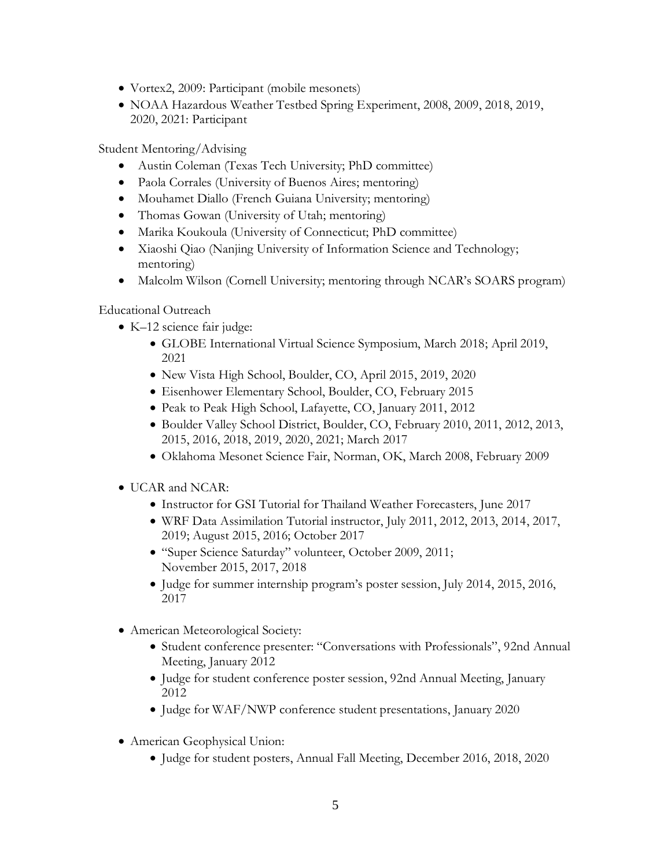- Vortex2, 2009: Participant (mobile mesonets)
- NOAA Hazardous Weather Testbed Spring Experiment, 2008, 2009, 2018, 2019, 2020, 2021: Participant

Student Mentoring/Advising

- Austin Coleman (Texas Tech University; PhD committee)
- Paola Corrales (University of Buenos Aires; mentoring)
- Mouhamet Diallo (French Guiana University; mentoring)
- Thomas Gowan (University of Utah; mentoring)
- Marika Koukoula (University of Connecticut; PhD committee)
- Xiaoshi Qiao (Nanjing University of Information Science and Technology; mentoring)
- Malcolm Wilson (Cornell University; mentoring through NCAR's SOARS program)

Educational Outreach

- K-12 science fair judge:
	- GLOBE International Virtual Science Symposium, March 2018; April 2019, 2021
	- New Vista High School, Boulder, CO, April 2015, 2019, 2020
	- Eisenhower Elementary School, Boulder, CO, February 2015
	- Peak to Peak High School, Lafayette, CO, January 2011, 2012
	- Boulder Valley School District, Boulder, CO, February 2010, 2011, 2012, 2013, 2015, 2016, 2018, 2019, 2020, 2021; March 2017
	- Oklahoma Mesonet Science Fair, Norman, OK, March 2008, February 2009
- UCAR and NCAR:
	- Instructor for GSI Tutorial for Thailand Weather Forecasters, June 2017
	- WRF Data Assimilation Tutorial instructor, July 2011, 2012, 2013, 2014, 2017, 2019; August 2015, 2016; October 2017
	- "Super Science Saturday" volunteer, October 2009, 2011; November 2015, 2017, 2018
	- Judge for summer internship program's poster session, July 2014, 2015, 2016, 2017
- American Meteorological Society:
	- Student conference presenter: "Conversations with Professionals", 92nd Annual Meeting, January 2012
	- Judge for student conference poster session, 92nd Annual Meeting, January 2012
	- Judge for WAF/NWP conference student presentations, January 2020
- American Geophysical Union:
	- Judge for student posters, Annual Fall Meeting, December 2016, 2018, 2020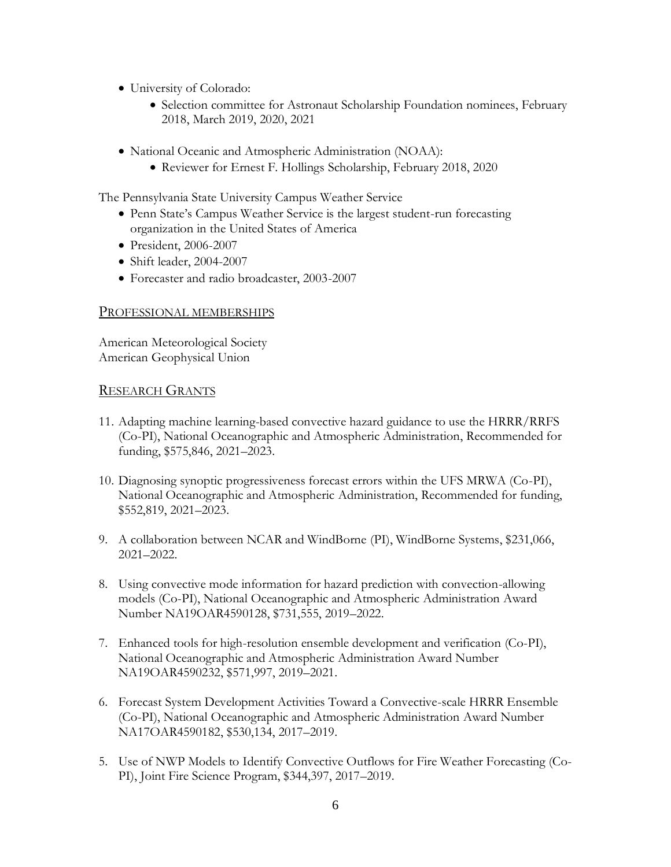- University of Colorado:
	- Selection committee for Astronaut Scholarship Foundation nominees, February 2018, March 2019, 2020, 2021
- National Oceanic and Atmospheric Administration (NOAA):
	- Reviewer for Ernest F. Hollings Scholarship, February 2018, 2020

The Pennsylvania State University Campus Weather Service

- Penn State's Campus Weather Service is the largest student-run forecasting organization in the United States of America
- President, 2006-2007
- Shift leader, 2004-2007
- Forecaster and radio broadcaster, 2003-2007

#### PROFESSIONAL MEMBERSHIPS

American Meteorological Society American Geophysical Union

#### RESEARCH GRANTS

- 11. Adapting machine learning-based convective hazard guidance to use the HRRR/RRFS (Co-PI), National Oceanographic and Atmospheric Administration, Recommended for funding, \$575,846, 2021–2023.
- 10. Diagnosing synoptic progressiveness forecast errors within the UFS MRWA (Co-PI), National Oceanographic and Atmospheric Administration, Recommended for funding, \$552,819, 2021–2023.
- 9. A collaboration between NCAR and WindBorne (PI), WindBorne Systems, \$231,066, 2021–2022.
- 8. Using convective mode information for hazard prediction with convection-allowing models (Co-PI), National Oceanographic and Atmospheric Administration Award Number NA19OAR4590128, \$731,555, 2019–2022.
- 7. Enhanced tools for high-resolution ensemble development and verification (Co-PI), National Oceanographic and Atmospheric Administration Award Number NA19OAR4590232, \$571,997, 2019–2021.
- 6. Forecast System Development Activities Toward a Convective-scale HRRR Ensemble (Co-PI), National Oceanographic and Atmospheric Administration Award Number NA17OAR4590182, \$530,134, 2017–2019.
- 5. Use of NWP Models to Identify Convective Outflows for Fire Weather Forecasting (Co-PI), Joint Fire Science Program, \$344,397, 2017–2019.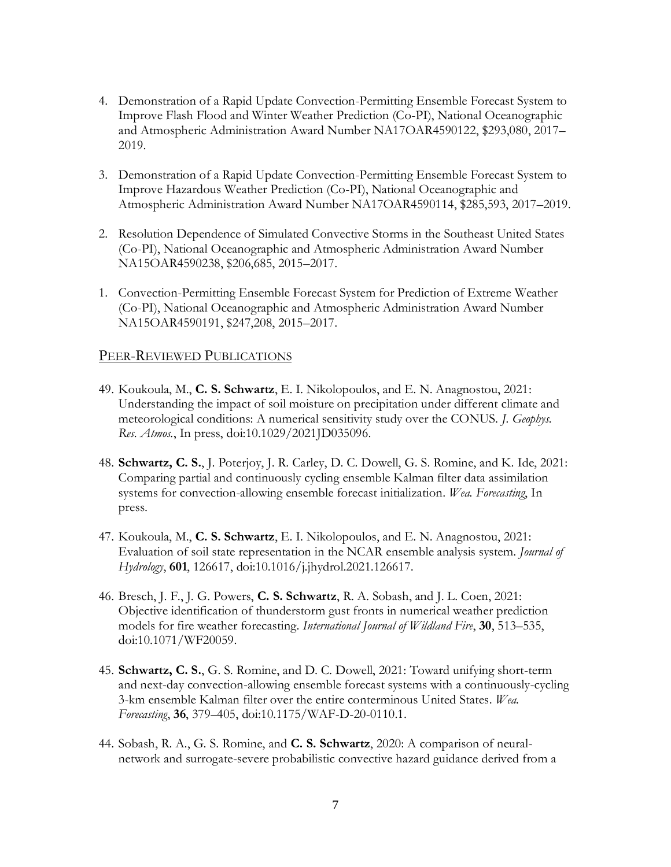- 4. Demonstration of a Rapid Update Convection-Permitting Ensemble Forecast System to Improve Flash Flood and Winter Weather Prediction (Co-PI), National Oceanographic and Atmospheric Administration Award Number NA17OAR4590122, \$293,080, 2017– 2019.
- 3. Demonstration of a Rapid Update Convection-Permitting Ensemble Forecast System to Improve Hazardous Weather Prediction (Co-PI), National Oceanographic and Atmospheric Administration Award Number NA17OAR4590114, \$285,593, 2017–2019.
- 2. Resolution Dependence of Simulated Convective Storms in the Southeast United States (Co-PI), National Oceanographic and Atmospheric Administration Award Number NA15OAR4590238, \$206,685, 2015–2017.
- 1. Convection-Permitting Ensemble Forecast System for Prediction of Extreme Weather (Co-PI), National Oceanographic and Atmospheric Administration Award Number NA15OAR4590191, \$247,208, 2015–2017.

### PEER-REVIEWED PUBLICATIONS

- 49. Koukoula, M., **C. S. Schwartz**, E. I. Nikolopoulos, and E. N. Anagnostou, 2021: Understanding the impact of soil moisture on precipitation under different climate and meteorological conditions: A numerical sensitivity study over the CONUS. *J. Geophys. Res. Atmos.*, In press, doi:10.1029/2021JD035096.
- 48. **Schwartz, C. S.**, J. Poterjoy, J. R. Carley, D. C. Dowell, G. S. Romine, and K. Ide, 2021: Comparing partial and continuously cycling ensemble Kalman filter data assimilation systems for convection-allowing ensemble forecast initialization. *Wea. Forecasting*, In press.
- 47. Koukoula, M., **C. S. Schwartz**, E. I. Nikolopoulos, and E. N. Anagnostou, 2021: Evaluation of soil state representation in the NCAR ensemble analysis system. *Journal of Hydrology*, **601**, 126617, doi:10.1016/j.jhydrol.2021.126617.
- 46. Bresch, J. F., J. G. Powers, **C. S. Schwartz**, R. A. Sobash, and J. L. Coen, 2021: Objective identification of thunderstorm gust fronts in numerical weather prediction models for fire weather forecasting. *International Journal of Wildland Fire*, **30**, 513–535, doi:10.1071/WF20059.
- 45. **Schwartz, C. S.**, G. S. Romine, and D. C. Dowell, 2021: Toward unifying short-term and next-day convection-allowing ensemble forecast systems with a continuously-cycling 3-km ensemble Kalman filter over the entire conterminous United States. *Wea. Forecasting*, **36**, 379–405, doi:10.1175/WAF-D-20-0110.1.
- 44. Sobash, R. A., G. S. Romine, and **C. S. Schwartz**, 2020: A comparison of neuralnetwork and surrogate-severe probabilistic convective hazard guidance derived from a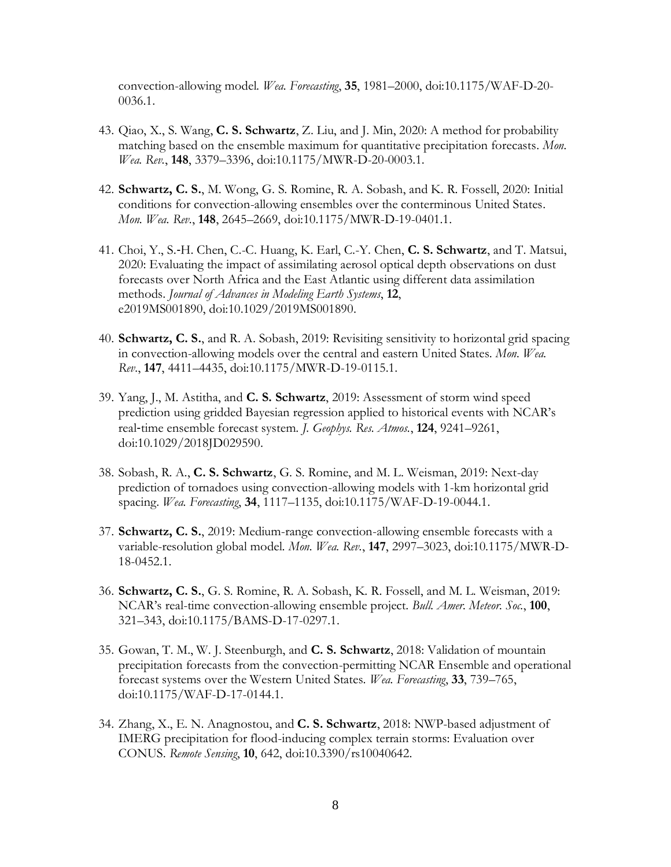convection-allowing model. *Wea. Forecasting*, **35**, 1981–2000, doi:10.1175/WAF-D-20- 0036.1.

- 43. Qiao, X., S. Wang, **C. S. Schwartz**, Z. Liu, and J. Min, 2020: A method for probability matching based on the ensemble maximum for quantitative precipitation forecasts. *Mon. Wea. Rev.*, **148**, 3379–3396, doi:10.1175/MWR-D-20-0003.1.
- 42. **Schwartz, C. S.**, M. Wong, G. S. Romine, R. A. Sobash, and K. R. Fossell, 2020: Initial conditions for convection-allowing ensembles over the conterminous United States. *Mon. Wea. Rev.*, **148**, 2645–2669, doi:10.1175/MWR-D-19-0401.1.
- 41. Choi, Y., S.‐H. Chen, C.-C. Huang, K. Earl, C.-Y. Chen, **C. S. Schwartz**, and T. Matsui, 2020: Evaluating the impact of assimilating aerosol optical depth observations on dust forecasts over North Africa and the East Atlantic using different data assimilation methods. *Journal of Advances in Modeling Earth Systems*, **12**, e2019MS001890, doi:10.1029/2019MS001890.
- 40. **Schwartz, C. S.**, and R. A. Sobash, 2019: Revisiting sensitivity to horizontal grid spacing in convection-allowing models over the central and eastern United States. *Mon. Wea. Rev.*, **147**, 4411–4435, doi:10.1175/MWR-D-19-0115.1.
- 39. Yang, J., M. Astitha, and **C. S. Schwartz**, 2019: Assessment of storm wind speed prediction using gridded Bayesian regression applied to historical events with NCAR's real‐time ensemble forecast system. *J. Geophys. Res. Atmos.*, **124**, 9241–9261, doi:10.1029/2018JD029590.
- 38. Sobash, R. A., **C. S. Schwartz**, G. S. Romine, and M. L. Weisman, 2019: Next-day prediction of tornadoes using convection-allowing models with 1-km horizontal grid spacing. *Wea. Forecasting*, **34**, 1117–1135, doi:10.1175/WAF-D-19-0044.1.
- 37. **Schwartz, C. S.**, 2019: Medium-range convection-allowing ensemble forecasts with a variable-resolution global model. *Mon. Wea. Rev.*, **147**, 2997–3023, doi:10.1175/MWR-D-18-0452.1.
- 36. **Schwartz, C. S.**, G. S. Romine, R. A. Sobash, K. R. Fossell, and M. L. Weisman, 2019: NCAR's real-time convection-allowing ensemble project. *Bull. Amer. Meteor. Soc.*, **100**, 321–343, doi:10.1175/BAMS-D-17-0297.1.
- 35. Gowan, T. M., W. J. Steenburgh, and **C. S. Schwartz**, 2018: Validation of mountain precipitation forecasts from the convection-permitting NCAR Ensemble and operational forecast systems over the Western United States. *Wea. Forecasting*, **33**, 739–765, doi:10.1175/WAF-D-17-0144.1.
- 34. Zhang, X., E. N. Anagnostou, and **C. S. Schwartz**, 2018: NWP-based adjustment of IMERG precipitation for flood-inducing complex terrain storms: Evaluation over CONUS. *Remote Sensing*, **10**, 642, doi:10.3390/rs10040642.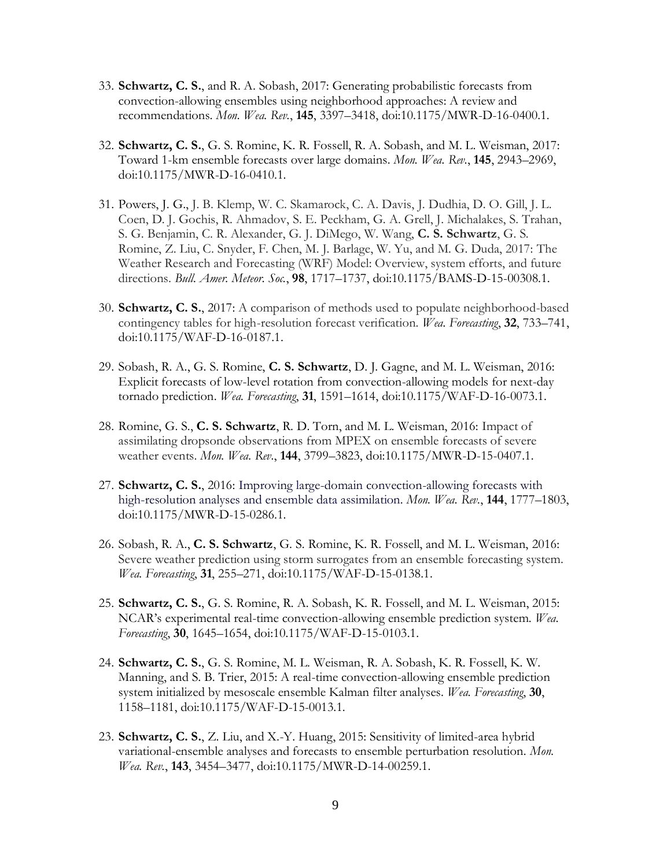- 33. **Schwartz, C. S.**, and R. A. Sobash, 2017: Generating probabilistic forecasts from convection-allowing ensembles using neighborhood approaches: A review and recommendations. *Mon. Wea. Rev.*, **145**, 3397–3418, doi:10.1175/MWR-D-16-0400.1.
- 32. **Schwartz, C. S.**, G. S. Romine, K. R. Fossell, R. A. Sobash, and M. L. Weisman, 2017: Toward 1-km ensemble forecasts over large domains. *Mon. Wea. Rev.*, **145**, 2943–2969, doi:10.1175/MWR-D-16-0410.1.
- 31. Powers, J. G., J. B. Klemp, W. C. Skamarock, C. A. Davis, J. Dudhia, D. O. Gill, J. L. Coen, D. J. Gochis, R. Ahmadov, S. E. Peckham, G. A. Grell, J. Michalakes, S. Trahan, S. G. Benjamin, C. R. Alexander, G. J. DiMego, W. Wang, **C. S. Schwartz**, G. S. Romine, Z. Liu, C. Snyder, F. Chen, M. J. Barlage, W. Yu, and M. G. Duda, 2017: The Weather Research and Forecasting (WRF) Model: Overview, system efforts, and future directions. *Bull. Amer. Meteor. Soc.*, **98**, 1717–1737, doi:10.1175/BAMS-D-15-00308.1.
- 30. **Schwartz, C. S.**, 2017: A comparison of methods used to populate neighborhood-based contingency tables for high-resolution forecast verification. *Wea. Forecasting*, **32**, 733–741, doi:10.1175/WAF-D-16-0187.1.
- 29. Sobash, R. A., G. S. Romine, **C. S. Schwartz**, D. J. Gagne, and M. L. Weisman, 2016: Explicit forecasts of low-level rotation from convection-allowing models for next-day tornado prediction. *Wea. Forecasting*, **31**, 1591–1614, doi:10.1175/WAF-D-16-0073.1.
- 28. Romine, G. S., **C. S. Schwartz**, R. D. Torn, and M. L. Weisman, 2016: Impact of assimilating dropsonde observations from MPEX on ensemble forecasts of severe weather events. *Mon. Wea. Rev.*, **144**, 3799–3823, doi:10.1175/MWR-D-15-0407.1.
- 27. **Schwartz, C. S.**, 2016: Improving large-domain convection-allowing forecasts with high-resolution analyses and ensemble data assimilation. *Mon. Wea. Rev.*, **144**, 1777–1803, doi:10.1175/MWR-D-15-0286.1.
- 26. Sobash, R. A., **C. S. Schwartz**, G. S. Romine, K. R. Fossell, and M. L. Weisman, 2016: Severe weather prediction using storm surrogates from an ensemble forecasting system. *Wea. Forecasting*, **31**, 255–271, doi:10.1175/WAF-D-15-0138.1.
- 25. **Schwartz, C. S.**, G. S. Romine, R. A. Sobash, K. R. Fossell, and M. L. Weisman, 2015: NCAR's experimental real-time convection-allowing ensemble prediction system. *Wea. Forecasting*, **30**, 1645–1654, doi:10.1175/WAF-D-15-0103.1.
- 24. **Schwartz, C. S.**, G. S. Romine, M. L. Weisman, R. A. Sobash, K. R. Fossell, K. W. Manning, and S. B. Trier, 2015: A real-time convection-allowing ensemble prediction system initialized by mesoscale ensemble Kalman filter analyses. *Wea. Forecasting*, **30**, 1158–1181, doi:10.1175/WAF-D-15-0013.1.
- 23. **Schwartz, C. S.**, Z. Liu, and X.-Y. Huang, 2015: Sensitivity of limited-area hybrid variational-ensemble analyses and forecasts to ensemble perturbation resolution. *Mon. Wea. Rev.*, **143**, 3454–3477, doi:10.1175/MWR-D-14-00259.1.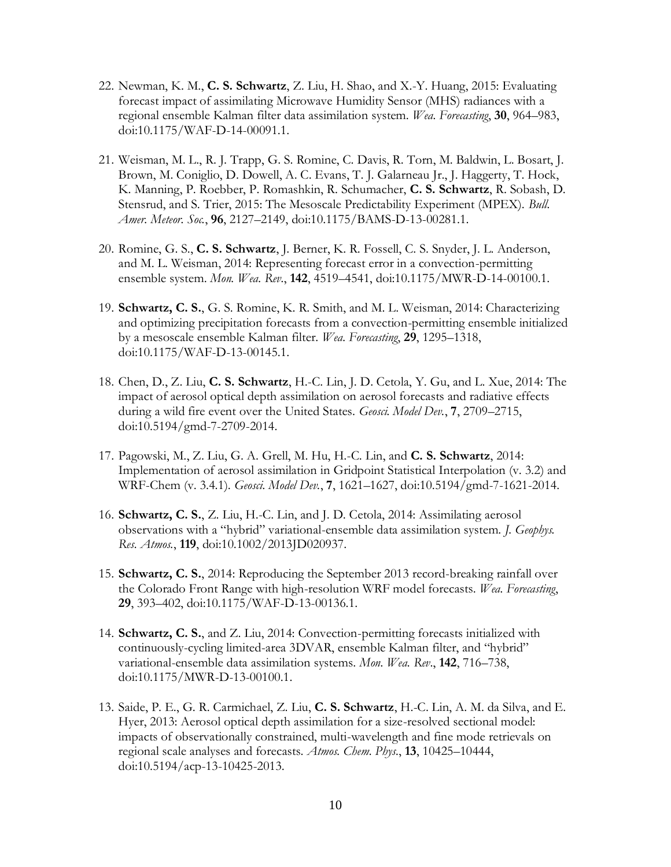- 22. Newman, K. M., **C. S. Schwartz**, Z. Liu, H. Shao, and X.-Y. Huang, 2015: Evaluating forecast impact of assimilating Microwave Humidity Sensor (MHS) radiances with a regional ensemble Kalman filter data assimilation system. *Wea. Forecasting*, **30**, 964–983, doi:10.1175/WAF-D-14-00091.1.
- 21. Weisman, M. L., R. J. Trapp, G. S. Romine, C. Davis, R. Torn, M. Baldwin, L. Bosart, J. Brown, M. Coniglio, D. Dowell, A. C. Evans, T. J. Galarneau Jr., J. Haggerty, T. Hock, K. Manning, P. Roebber, P. Romashkin, R. Schumacher, **C. S. Schwartz**, R. Sobash, D. Stensrud, and S. Trier, 2015: The Mesoscale Predictability Experiment (MPEX). *Bull. Amer. Meteor. Soc.*, **96**, 2127–2149, doi:10.1175/BAMS-D-13-00281.1.
- 20. Romine, G. S., **C. S. Schwartz**, J. Berner, K. R. Fossell, C. S. Snyder, J. L. Anderson, and M. L. Weisman, 2014: Representing forecast error in a convection-permitting ensemble system. *Mon. Wea. Rev.*, **142**, 4519–4541, doi:10.1175/MWR-D-14-00100.1.
- 19. **Schwartz, C. S.**, G. S. Romine, K. R. Smith, and M. L. Weisman, 2014: Characterizing and optimizing precipitation forecasts from a convection-permitting ensemble initialized by a mesoscale ensemble Kalman filter. *Wea. Forecasting*, **29**, 1295–1318, doi:10.1175/WAF-D-13-00145.1.
- 18. Chen, D., Z. Liu, **C. S. Schwartz**, H.-C. Lin, J. D. Cetola, Y. Gu, and L. Xue, 2014: The impact of aerosol optical depth assimilation on aerosol forecasts and radiative effects during a wild fire event over the United States. *Geosci. Model Dev.*, **7**, 2709–2715, doi:10.5194/gmd-7-2709-2014.
- 17. Pagowski, M., Z. Liu, G. A. Grell, M. Hu, H.-C. Lin, and **C. S. Schwartz**, 2014: Implementation of aerosol assimilation in Gridpoint Statistical Interpolation (v. 3.2) and WRF-Chem (v. 3.4.1). *Geosci. Model Dev.*, **7**, 1621–1627, doi:10.5194/gmd-7-1621-2014.
- 16. **Schwartz, C. S.**, Z. Liu, H.-C. Lin, and J. D. Cetola, 2014: Assimilating aerosol observations with a "hybrid" variational-ensemble data assimilation system. *J. Geophys. Res. Atmos.*, **119**, doi:10.1002/2013JD020937.
- 15. **Schwartz, C. S.**, 2014: Reproducing the September 2013 record-breaking rainfall over the Colorado Front Range with high-resolution WRF model forecasts. *Wea. Forecasting*, **29**, 393–402, doi:10.1175/WAF-D-13-00136.1.
- 14. **Schwartz, C. S.**, and Z. Liu, 2014: Convection-permitting forecasts initialized with continuously-cycling limited-area 3DVAR, ensemble Kalman filter, and "hybrid" variational-ensemble data assimilation systems. *Mon. Wea. Rev*., **142**, 716–738, doi:10.1175/MWR-D-13-00100.1.
- 13. Saide, P. E., G. R. Carmichael, Z. Liu, **C. S. Schwartz**, H.-C. Lin, A. M. da Silva, and E. Hyer, 2013: Aerosol optical depth assimilation for a size-resolved sectional model: impacts of observationally constrained, multi-wavelength and fine mode retrievals on regional scale analyses and forecasts. *Atmos. Chem. Phys.*, **13**, 10425–10444, doi:10.5194/acp-13-10425-2013.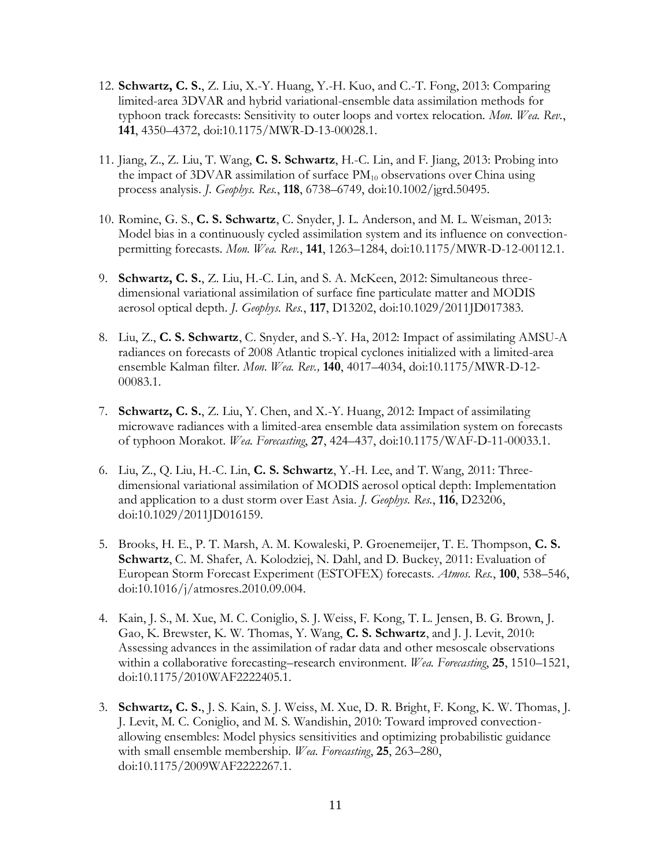- 12. **Schwartz, C. S.**, Z. Liu, X.-Y. Huang, Y.-H. Kuo, and C.-T. Fong, 2013: Comparing limited-area 3DVAR and hybrid variational-ensemble data assimilation methods for typhoon track forecasts: Sensitivity to outer loops and vortex relocation. *Mon. Wea. Rev.*, **141**, 4350–4372, doi:10.1175/MWR-D-13-00028.1.
- 11. Jiang, Z., Z. Liu, T. Wang, **C. S. Schwartz**, H.-C. Lin, and F. Jiang, 2013: Probing into the impact of  $3DVAR$  assimilation of surface  $PM_{10}$  observations over China using process analysis. *J. Geophys. Res.*, **118**, 6738–6749, doi:10.1002/jgrd.50495.
- 10. Romine, G. S., **C. S. Schwartz**, C. Snyder, J. L. Anderson, and M. L. Weisman, 2013: Model bias in a continuously cycled assimilation system and its influence on convectionpermitting forecasts. *Mon. Wea. Rev.*, **141**, 1263–1284, doi:10.1175/MWR-D-12-00112.1.
- 9. **Schwartz, C. S.**, Z. Liu, H.-C. Lin, and S. A. McKeen, 2012: Simultaneous threedimensional variational assimilation of surface fine particulate matter and MODIS aerosol optical depth. *J. Geophys. Res.*, **117**, D13202, doi:10.1029/2011JD017383.
- 8. Liu, Z., **C. S. Schwartz**, C. Snyder, and S.-Y. Ha, 2012: Impact of assimilating AMSU-A radiances on forecasts of 2008 Atlantic tropical cyclones initialized with a limited-area ensemble Kalman filter. *Mon. Wea. Rev.,* **140**, 4017–4034, doi:10.1175/MWR-D-12- 00083.1.
- 7. **Schwartz, C. S.**, Z. Liu, Y. Chen, and X.-Y. Huang, 2012: Impact of assimilating microwave radiances with a limited-area ensemble data assimilation system on forecasts of typhoon Morakot. *Wea. Forecasting*, **27**, 424–437, doi:10.1175/WAF-D-11-00033.1.
- 6. Liu, Z., Q. Liu, H.-C. Lin, **C. S. Schwartz**, Y.-H. Lee, and T. Wang, 2011: Threedimensional variational assimilation of MODIS aerosol optical depth: Implementation and application to a dust storm over East Asia. *J. Geophys. Res.*, **116**, D23206, doi:10.1029/2011JD016159.
- 5. Brooks, H. E., P. T. Marsh, A. M. Kowaleski, P. Groenemeijer, T. E. Thompson, **C. S. Schwartz**, C. M. Shafer, A. Kolodziej, N. Dahl, and D. Buckey, 2011: Evaluation of European Storm Forecast Experiment (ESTOFEX) forecasts. *Atmos. Res.*, **100**, 538–546, doi:10.1016/j/atmosres.2010.09.004.
- 4. Kain, J. S., M. Xue, M. C. Coniglio, S. J. Weiss, F. Kong, T. L. Jensen, B. G. Brown, J. Gao, K. Brewster, K. W. Thomas, Y. Wang, **C. S. Schwartz**, and J. J. Levit, 2010: Assessing advances in the assimilation of radar data and other mesoscale observations within a collaborative forecasting–research environment. *Wea. Forecasting*, **25**, 1510–1521, doi:10.1175/2010WAF2222405.1.
- 3. **Schwartz, C. S.**, J. S. Kain, S. J. Weiss, M. Xue, D. R. Bright, F. Kong, K. W. Thomas, J. J. Levit, M. C. Coniglio, and M. S. Wandishin, 2010: Toward improved convectionallowing ensembles: Model physics sensitivities and optimizing probabilistic guidance with small ensemble membership. *Wea. Forecasting*, **25**, 263–280, doi:10.1175/2009WAF2222267.1.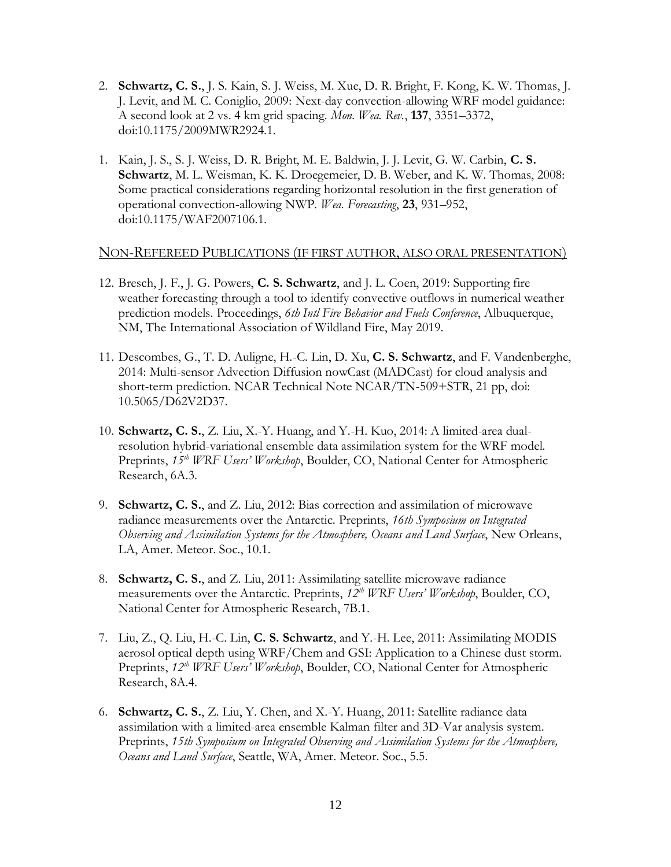- 2. **Schwartz, C. S.**, J. S. Kain, S. J. Weiss, M. Xue, D. R. Bright, F. Kong, K. W. Thomas, J. J. Levit, and M. C. Coniglio, 2009: Next-day convection-allowing WRF model guidance: A second look at 2 vs. 4 km grid spacing. *Mon. Wea. Rev.*, **137**, 3351–3372, doi:10.1175/2009MWR2924.1.
- 1. Kain, J. S., S. J. Weiss, D. R. Bright, M. E. Baldwin, J. J. Levit, G. W. Carbin, **C. S. Schwartz**, M. L. Weisman, K. K. Droegemeier, D. B. Weber, and K. W. Thomas, 2008: Some practical considerations regarding horizontal resolution in the first generation of operational convection-allowing NWP. *Wea. Forecasting*, **23**, 931–952, doi:10.1175/WAF2007106.1.

#### NON-REFEREED PUBLICATIONS (IF FIRST AUTHOR, ALSO ORAL PRESENTATION)

- 12. Bresch, J. F., J. G. Powers, **C. S. Schwartz**, and J. L. Coen, 2019: Supporting fire weather forecasting through a tool to identify convective outflows in numerical weather prediction models. Proceedings, *6th Intl Fire Behavior and Fuels Conference*, Albuquerque, NM, The International Association of Wildland Fire, May 2019.
- 11. Descombes, G., T. D. Auligne, H.-C. Lin, D. Xu, **C. S. Schwartz**, and F. Vandenberghe, 2014: Multi-sensor Advection Diffusion nowCast (MADCast) for cloud analysis and short-term prediction. NCAR Technical Note NCAR/TN-509+STR, 21 pp, doi: 10.5065/D62V2D37.
- 10. **Schwartz, C. S.**, Z. Liu, X.-Y. Huang, and Y.-H. Kuo, 2014: A limited-area dualresolution hybrid-variational ensemble data assimilation system for the WRF model. Preprints,  $15<sup>th</sup> WRF User's Workshop, Boulder, CO, National Center for Atmospheric$ Research, 6A.3.
- 9. **Schwartz, C. S.**, and Z. Liu, 2012: Bias correction and assimilation of microwave radiance measurements over the Antarctic. Preprints, *16th Symposium on Integrated Observing and Assimilation Systems for the Atmosphere, Oceans and Land Surface*, New Orleans, LA, Amer. Meteor. Soc., 10.1.
- 8. **Schwartz, C. S.**, and Z. Liu, 2011: Assimilating satellite microwave radiance measurements over the Antarctic. Preprints, *12th WRF Users' Workshop*, Boulder, CO, National Center for Atmospheric Research, 7B.1.
- 7. Liu, Z., Q. Liu, H.-C. Lin, **C. S. Schwartz**, and Y.-H. Lee, 2011: Assimilating MODIS aerosol optical depth using WRF/Chem and GSI: Application to a Chinese dust storm. Preprints,  $12^{th}$  *WRF Users' Workshop*, Boulder, CO, National Center for Atmospheric Research, 8A.4.
- 6. **Schwartz, C. S.**, Z. Liu, Y. Chen, and X.-Y. Huang, 2011: Satellite radiance data assimilation with a limited-area ensemble Kalman filter and 3D-Var analysis system. Preprints, *15th Symposium on Integrated Observing and Assimilation Systems for the Atmosphere, Oceans and Land Surface*, Seattle, WA, Amer. Meteor. Soc., 5.5.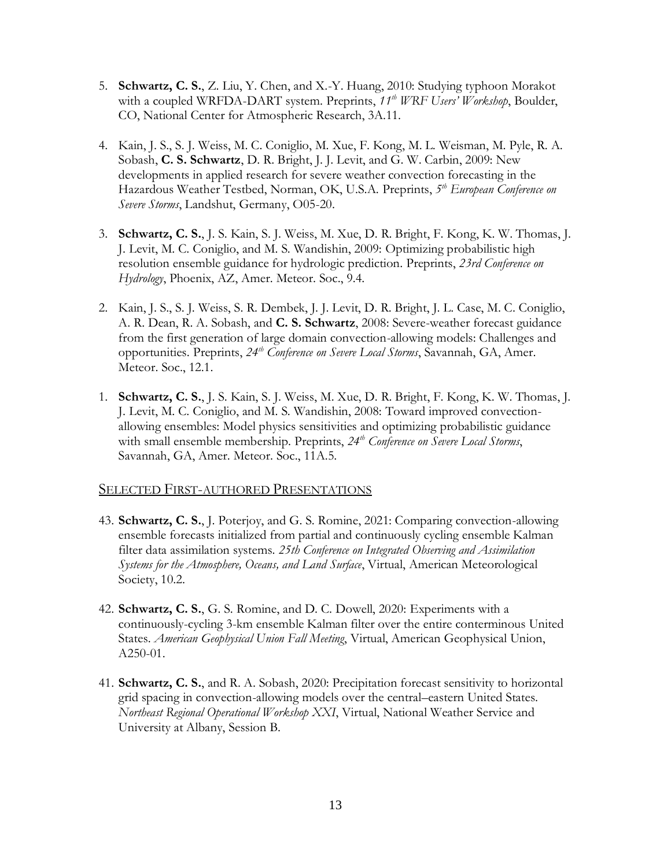- 5. **Schwartz, C. S.**, Z. Liu, Y. Chen, and X.-Y. Huang, 2010: Studying typhoon Morakot with a coupled WRFDA-DART system. Preprints, *11th WRF Users' Workshop*, Boulder, CO, National Center for Atmospheric Research, 3A.11.
- 4. Kain, J. S., S. J. Weiss, M. C. Coniglio, M. Xue, F. Kong, M. L. Weisman, M. Pyle, R. A. Sobash, **C. S. Schwartz**, D. R. Bright, J. J. Levit, and G. W. Carbin, 2009: New developments in applied research for severe weather convection forecasting in the Hazardous Weather Testbed, Norman, OK, U.S.A. Preprints, *5 th European Conference on Severe Storms*, Landshut, Germany, O05-20.
- 3. **Schwartz, C. S.**, J. S. Kain, S. J. Weiss, M. Xue, D. R. Bright, F. Kong, K. W. Thomas, J. J. Levit, M. C. Coniglio, and M. S. Wandishin, 2009: Optimizing probabilistic high resolution ensemble guidance for hydrologic prediction. Preprints, *23rd Conference on Hydrology*, Phoenix, AZ, Amer. Meteor. Soc., 9.4.
- 2. Kain, J. S., S. J. Weiss, S. R. Dembek, J. J. Levit, D. R. Bright, J. L. Case, M. C. Coniglio, A. R. Dean, R. A. Sobash, and **C. S. Schwartz**, 2008: Severe-weather forecast guidance from the first generation of large domain convection-allowing models: Challenges and opportunities. Preprints, *24th Conference on Severe Local Storms*, Savannah, GA, Amer. Meteor. Soc., 12.1.
- 1. **Schwartz, C. S.**, J. S. Kain, S. J. Weiss, M. Xue, D. R. Bright, F. Kong, K. W. Thomas, J. J. Levit, M. C. Coniglio, and M. S. Wandishin, 2008: Toward improved convectionallowing ensembles: Model physics sensitivities and optimizing probabilistic guidance with small ensemble membership. Preprints, *24th Conference on Severe Local Storms*, Savannah, GA, Amer. Meteor. Soc., 11A.5.

### SELECTED FIRST-AUTHORED PRESENTATIONS

- 43. **Schwartz, C. S.**, J. Poterjoy, and G. S. Romine, 2021: Comparing convection-allowing ensemble forecasts initialized from partial and continuously cycling ensemble Kalman filter data assimilation systems. *25th Conference on Integrated Observing and Assimilation Systems for the Atmosphere, Oceans, and Land Surface*, Virtual, American Meteorological Society, 10.2.
- 42. **Schwartz, C. S.**, G. S. Romine, and D. C. Dowell, 2020: Experiments with a continuously-cycling 3-km ensemble Kalman filter over the entire conterminous United States. *American Geophysical Union Fall Meeting*, Virtual, American Geophysical Union, A250-01.
- 41. **Schwartz, C. S.**, and R. A. Sobash, 2020: Precipitation forecast sensitivity to horizontal grid spacing in convection-allowing models over the central–eastern United States. *Northeast Regional Operational Workshop XXI*, Virtual, National Weather Service and University at Albany, Session B.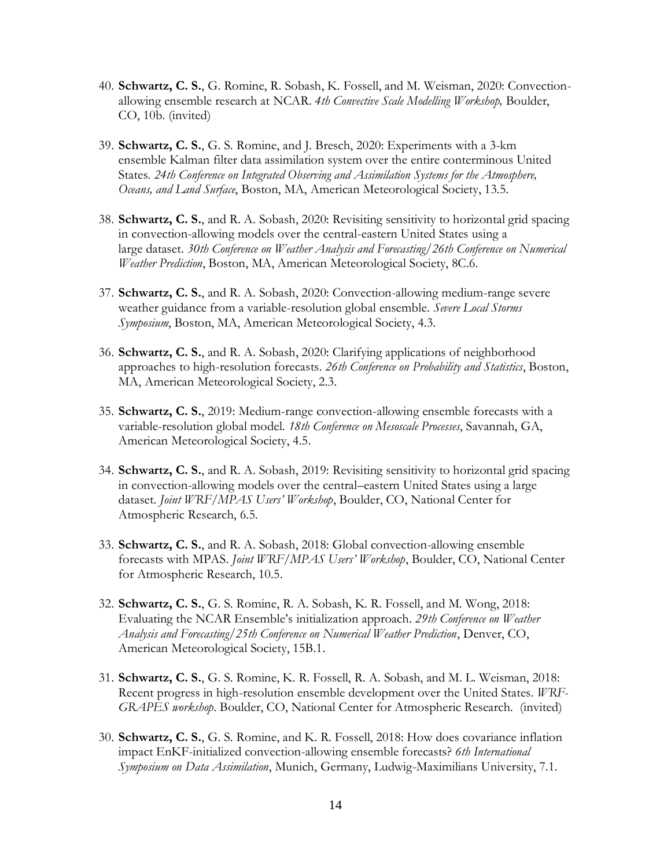- 40. **Schwartz, C. S.**, G. Romine, R. Sobash, K. Fossell, and M. Weisman, 2020: Convectionallowing ensemble research at NCAR. *4th Convective Scale Modelling Workshop,* Boulder, CO, 10b. (invited)
- 39. **Schwartz, C. S.**, G. S. Romine, and J. Bresch, 2020: Experiments with a 3-km ensemble Kalman filter data assimilation system over the entire conterminous United States. *24th Conference on Integrated Observing and Assimilation Systems for the Atmosphere, Oceans, and Land Surface*, Boston, MA, American Meteorological Society, 13.5.
- 38. **Schwartz, C. S.**, and R. A. Sobash, 2020: Revisiting sensitivity to horizontal grid spacing in convection-allowing models over the central-eastern United States using a large dataset. *30th Conference on Weather Analysis and Forecasting/26th Conference on Numerical Weather Prediction*, Boston, MA, American Meteorological Society, 8C.6.
- 37. **Schwartz, C. S.**, and R. A. Sobash, 2020: Convection-allowing medium-range severe weather guidance from a variable-resolution global ensemble. *Severe Local Storms Symposium*, Boston, MA, American Meteorological Society, 4.3.
- 36. **Schwartz, C. S.**, and R. A. Sobash, 2020: Clarifying applications of neighborhood approaches to high-resolution forecasts. *26th Conference on Probability and Statistics*, Boston, MA, American Meteorological Society, 2.3.
- 35. **Schwartz, C. S.**, 2019: Medium-range convection-allowing ensemble forecasts with a variable-resolution global model. *18th Conference on Mesoscale Processes*, Savannah, GA, American Meteorological Society, 4.5.
- 34. **Schwartz, C. S.**, and R. A. Sobash, 2019: Revisiting sensitivity to horizontal grid spacing in convection-allowing models over the central–eastern United States using a large dataset. *Joint WRF/MPAS Users' Workshop*, Boulder, CO, National Center for Atmospheric Research, 6.5.
- 33. **Schwartz, C. S.**, and R. A. Sobash, 2018: Global convection-allowing ensemble forecasts with MPAS. *Joint WRF/MPAS Users' Workshop*, Boulder, CO, National Center for Atmospheric Research, 10.5.
- 32. **Schwartz, C. S.**, G. S. Romine, R. A. Sobash, K. R. Fossell, and M. Wong, 2018: Evaluating the NCAR Ensemble's initialization approach. *29th Conference on Weather Analysis and Forecasting/25th Conference on Numerical Weather Prediction*, Denver, CO, American Meteorological Society, 15B.1.
- 31. **Schwartz, C. S.**, G. S. Romine, K. R. Fossell, R. A. Sobash, and M. L. Weisman, 2018: Recent progress in high-resolution ensemble development over the United States. *WRF-GRAPES workshop*. Boulder, CO, National Center for Atmospheric Research. (invited)
- 30. **Schwartz, C. S.**, G. S. Romine, and K. R. Fossell, 2018: How does covariance inflation impact EnKF-initialized convection-allowing ensemble forecasts? *6th International Symposium on Data Assimilation*, Munich, Germany, Ludwig-Maximilians University, 7.1.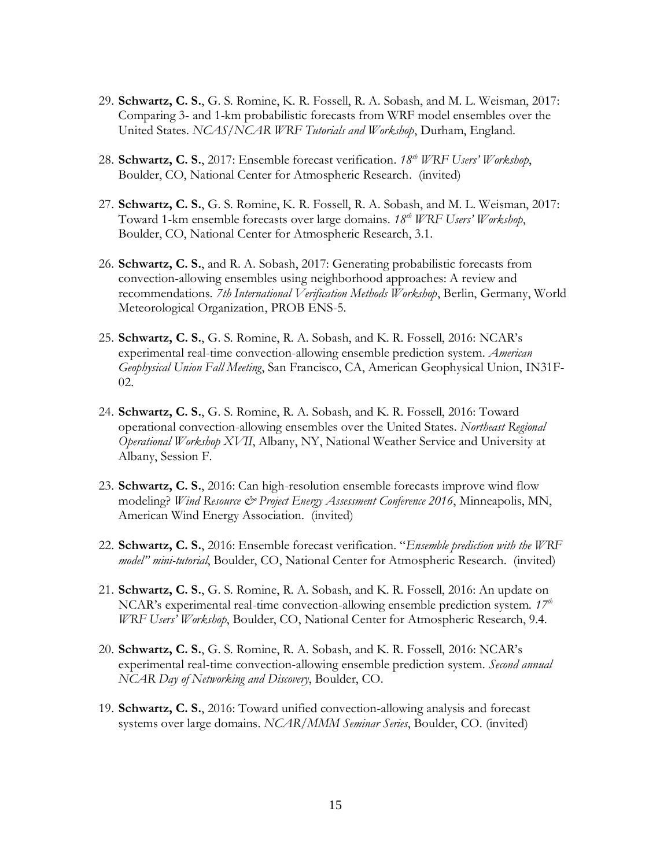- 29. **Schwartz, C. S.**, G. S. Romine, K. R. Fossell, R. A. Sobash, and M. L. Weisman, 2017: Comparing 3- and 1-km probabilistic forecasts from WRF model ensembles over the United States. *NCAS/NCAR WRF Tutorials and Workshop*, Durham, England.
- 28. **Schwartz, C. S.**, 2017: Ensemble forecast verification. *18th WRF Users' Workshop*, Boulder, CO, National Center for Atmospheric Research. (invited)
- 27. **Schwartz, C. S.**, G. S. Romine, K. R. Fossell, R. A. Sobash, and M. L. Weisman, 2017: Toward 1-km ensemble forecasts over large domains. *18th WRF Users' Workshop*, Boulder, CO, National Center for Atmospheric Research, 3.1.
- 26. **Schwartz, C. S.**, and R. A. Sobash, 2017: Generating probabilistic forecasts from convection-allowing ensembles using neighborhood approaches: A review and recommendations. *7th International Verification Methods Workshop*, Berlin, Germany, World Meteorological Organization, PROB ENS-5.
- 25. **Schwartz, C. S.**, G. S. Romine, R. A. Sobash, and K. R. Fossell, 2016: NCAR's experimental real-time convection-allowing ensemble prediction system. *American Geophysical Union Fall Meeting*, San Francisco, CA, American Geophysical Union, IN31F-02.
- 24. **Schwartz, C. S.**, G. S. Romine, R. A. Sobash, and K. R. Fossell, 2016: Toward operational convection-allowing ensembles over the United States. *Northeast Regional Operational Workshop XVII*, Albany, NY, National Weather Service and University at Albany, Session F.
- 23. **Schwartz, C. S.**, 2016: Can high-resolution ensemble forecasts improve wind flow modeling? *Wind Resource & Project Energy Assessment Conference 2016*, Minneapolis, MN, American Wind Energy Association. (invited)
- 22. **Schwartz, C. S.**, 2016: Ensemble forecast verification. "*Ensemble prediction with the WRF model" mini-tutorial*, Boulder, CO, National Center for Atmospheric Research. (invited)
- 21. **Schwartz, C. S.**, G. S. Romine, R. A. Sobash, and K. R. Fossell, 2016: An update on NCAR's experimental real-time convection-allowing ensemble prediction system. *17th WRF Users' Workshop*, Boulder, CO, National Center for Atmospheric Research, 9.4.
- 20. **Schwartz, C. S.**, G. S. Romine, R. A. Sobash, and K. R. Fossell, 2016: NCAR's experimental real-time convection-allowing ensemble prediction system. *Second annual NCAR Day of Networking and Discovery*, Boulder, CO.
- 19. **Schwartz, C. S.**, 2016: Toward unified convection-allowing analysis and forecast systems over large domains. *NCAR/MMM Seminar Series*, Boulder, CO. (invited)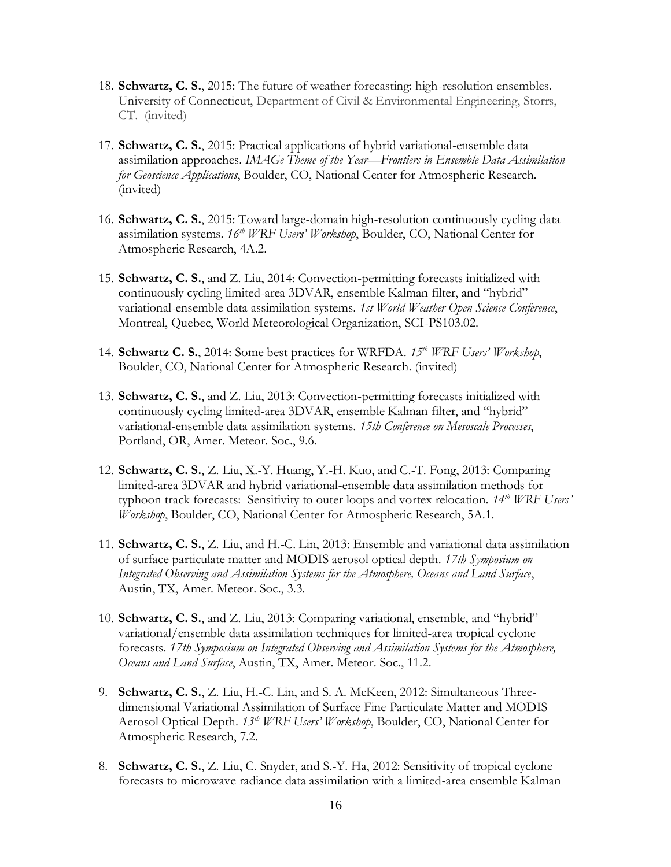- 18. **Schwartz, C. S.**, 2015: The future of weather forecasting: high-resolution ensembles. University of Connecticut, Department of Civil & Environmental Engineering, Storrs, CT. (invited)
- 17. **Schwartz, C. S.**, 2015: Practical applications of hybrid variational-ensemble data assimilation approaches. *IMAGe Theme of the Year—Frontiers in Ensemble Data Assimilation for Geoscience Applications*, Boulder, CO, National Center for Atmospheric Research. (invited)
- 16. **Schwartz, C. S.**, 2015: Toward large-domain high-resolution continuously cycling data assimilation systems. *16th WRF Users' Workshop*, Boulder, CO, National Center for Atmospheric Research, 4A.2.
- 15. **Schwartz, C. S.**, and Z. Liu, 2014: Convection-permitting forecasts initialized with continuously cycling limited-area 3DVAR, ensemble Kalman filter, and "hybrid" variational-ensemble data assimilation systems. *1st World Weather Open Science Conference*, Montreal, Quebec, World Meteorological Organization, SCI-PS103.02.
- 14. **Schwartz C. S.**, 2014: Some best practices for WRFDA. *15th WRF Users' Workshop*, Boulder, CO, National Center for Atmospheric Research. (invited)
- 13. **Schwartz, C. S.**, and Z. Liu, 2013: Convection-permitting forecasts initialized with continuously cycling limited-area 3DVAR, ensemble Kalman filter, and "hybrid" variational-ensemble data assimilation systems. *15th Conference on Mesoscale Processes*, Portland, OR, Amer. Meteor. Soc., 9.6.
- 12. **Schwartz, C. S.**, Z. Liu, X.-Y. Huang, Y.-H. Kuo, and C.-T. Fong, 2013: Comparing limited-area 3DVAR and hybrid variational-ensemble data assimilation methods for typhoon track forecasts: Sensitivity to outer loops and vortex relocation. *14th WRF Users' Workshop*, Boulder, CO, National Center for Atmospheric Research, 5A.1.
- 11. **Schwartz, C. S.**, Z. Liu, and H.-C. Lin, 2013: Ensemble and variational data assimilation of surface particulate matter and MODIS aerosol optical depth. *17th Symposium on Integrated Observing and Assimilation Systems for the Atmosphere, Oceans and Land Surface*, Austin, TX, Amer. Meteor. Soc., 3.3.
- 10. **Schwartz, C. S.**, and Z. Liu, 2013: Comparing variational, ensemble, and "hybrid" variational/ensemble data assimilation techniques for limited-area tropical cyclone forecasts. *17th Symposium on Integrated Observing and Assimilation Systems for the Atmosphere, Oceans and Land Surface*, Austin, TX, Amer. Meteor. Soc., 11.2.
- 9. **Schwartz, C. S.**, Z. Liu, H.-C. Lin, and S. A. McKeen, 2012: Simultaneous Threedimensional Variational Assimilation of Surface Fine Particulate Matter and MODIS Aerosol Optical Depth. *13th WRF Users' Workshop*, Boulder, CO, National Center for Atmospheric Research, 7.2.
- 8. **Schwartz, C. S.**, Z. Liu, C. Snyder, and S.-Y. Ha, 2012: Sensitivity of tropical cyclone forecasts to microwave radiance data assimilation with a limited-area ensemble Kalman